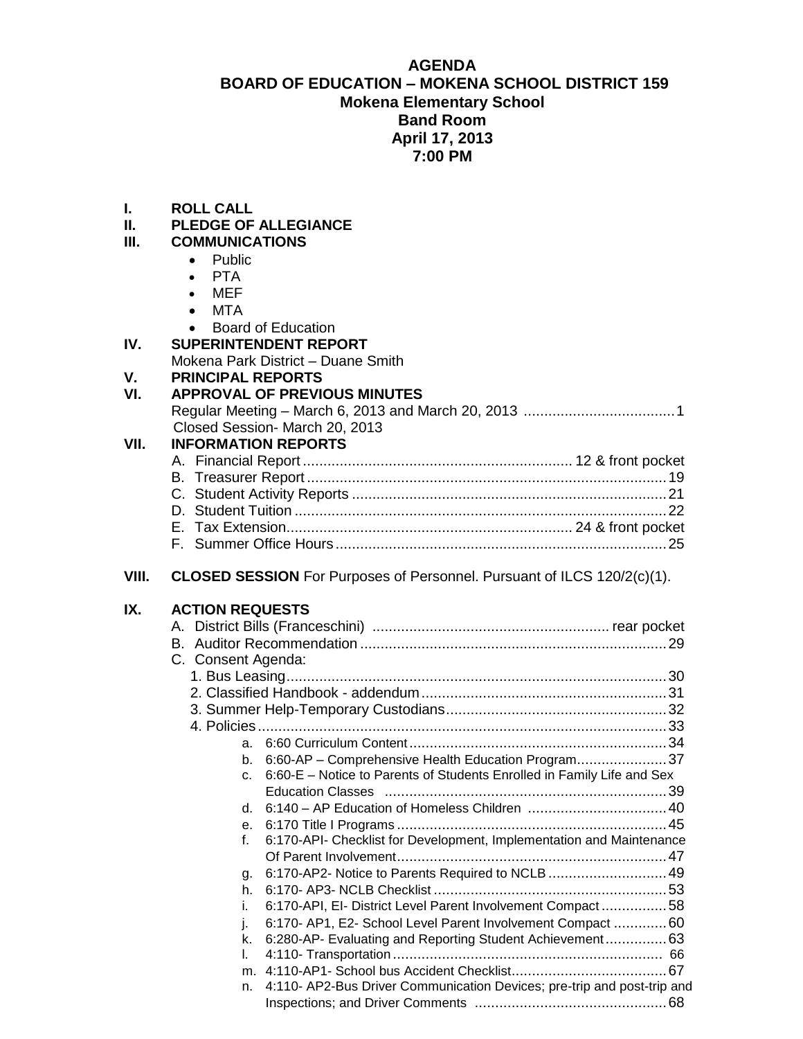### **AGENDA BOARD OF EDUCATION – MOKENA SCHOOL DISTRICT 159 Mokena Elementary School Band Room April 17, 2013 7:00 PM**

- **I. ROLL CALL**
- **II. PLEDGE OF ALLEGIANCE**

## **III. COMMUNICATIONS**

- Public
- PTA
- MEF
- MTA
- Board of Education

### **IV. SUPERINTENDENT REPORT**

Mokena Park District – Duane Smith

## **V. PRINCIPAL REPORTS**

#### **VI. APPROVAL OF PREVIOUS MINUTES**  Regular Meeting – March 6, 2013 and March 20, 2013 .....................................1 Closed Session- March 20, 2013

# **VII. INFORMATION REPORTS**

## **VIII. CLOSED SESSION** For Purposes of Personnel. Pursuant of ILCS 120/2(c)(1).

## **IX. ACTION REQUESTS**

| C. Consent Agenda: |                                                                         |  |
|--------------------|-------------------------------------------------------------------------|--|
|                    |                                                                         |  |
|                    |                                                                         |  |
|                    |                                                                         |  |
|                    |                                                                         |  |
| $a_{-}$            |                                                                         |  |
| b.                 | 6:60-AP - Comprehensive Health Education Program37                      |  |
| $\mathbf{C}$       | 6:60-E - Notice to Parents of Students Enrolled in Family Life and Sex  |  |
|                    |                                                                         |  |
| d.                 |                                                                         |  |
| $e_{1}$            |                                                                         |  |
| f.                 | 6:170-API- Checklist for Development, Implementation and Maintenance    |  |
|                    |                                                                         |  |
| q.                 | 6:170-AP2- Notice to Parents Required to NCLB  49                       |  |
| h.                 |                                                                         |  |
| i.                 | 6:170-API, EI- District Level Parent Involvement Compact58              |  |
| j.                 | 6:170- AP1, E2- School Level Parent Involvement Compact 60              |  |
| k.                 | 6:280-AP- Evaluating and Reporting Student Achievement 63               |  |
| L.                 |                                                                         |  |
| m.                 |                                                                         |  |
| n.                 | 4:110- AP2-Bus Driver Communication Devices; pre-trip and post-trip and |  |
|                    |                                                                         |  |